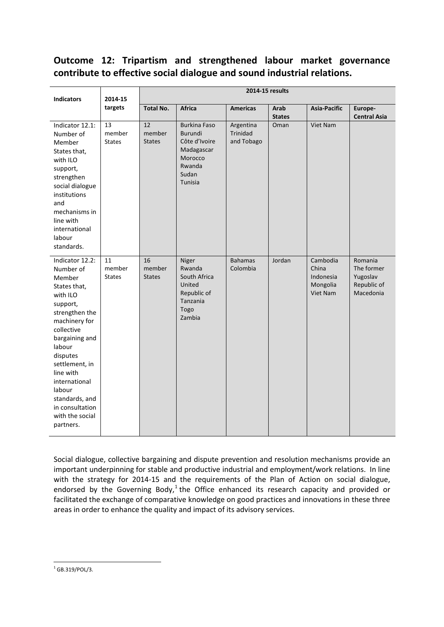# **Outcome 12: Tripartism and strengthened labour market governance contribute to effective social dialogue and sound industrial relations.**

| <b>Indicators</b>                                                                                                                                                                                                                                                                                      | 2014-15<br>targets            | 2014-15 results                            |                                                                                                               |                                     |                       |                                                        |                                                               |  |
|--------------------------------------------------------------------------------------------------------------------------------------------------------------------------------------------------------------------------------------------------------------------------------------------------------|-------------------------------|--------------------------------------------|---------------------------------------------------------------------------------------------------------------|-------------------------------------|-----------------------|--------------------------------------------------------|---------------------------------------------------------------|--|
|                                                                                                                                                                                                                                                                                                        |                               | <b>Total No.</b>                           | <b>Africa</b>                                                                                                 | <b>Americas</b>                     | Arab<br><b>States</b> | <b>Asia-Pacific</b>                                    | Europe-<br><b>Central Asia</b>                                |  |
| Indicator 12.1:<br>Number of<br>Member<br>States that,<br>with ILO<br>support,<br>strengthen<br>social dialogue<br>institutions<br>and<br>mechanisms in<br>line with<br>international<br>labour<br>standards.                                                                                          | 13<br>member<br><b>States</b> | $\overline{12}$<br>member<br><b>States</b> | <b>Burkina Faso</b><br><b>Burundi</b><br>Côte d'Ivoire<br>Madagascar<br>Morocco<br>Rwanda<br>Sudan<br>Tunisia | Argentina<br>Trinidad<br>and Tobago | Oman                  | <b>Viet Nam</b>                                        |                                                               |  |
| Indicator 12.2:<br>Number of<br>Member<br>States that,<br>with ILO<br>support,<br>strengthen the<br>machinery for<br>collective<br>bargaining and<br>labour<br>disputes<br>settlement, in<br>line with<br>international<br>labour<br>standards, and<br>in consultation<br>with the social<br>partners. | 11<br>member<br><b>States</b> | 16<br>member<br><b>States</b>              | Niger<br>Rwanda<br>South Africa<br>United<br>Republic of<br>Tanzania<br>Togo<br>Zambia                        | <b>Bahamas</b><br>Colombia          | Jordan                | Cambodia<br>China<br>Indonesia<br>Mongolia<br>Viet Nam | Romania<br>The former<br>Yugoslav<br>Republic of<br>Macedonia |  |

Social dialogue, collective bargaining and dispute prevention and resolution mechanisms provide an important underpinning for stable and productive industrial and employment/work relations. In line with the strategy for 2014-15 and the requirements of the Plan of Action on social dialogue, endorsed by the Governing Body,<sup>[1](#page-0-0)</sup> the Office enhanced its research capacity and provided or facilitated the exchange of comparative knowledge on good practices and innovations in these three areas in order to enhance the quality and impact of its advisory services.

<span id="page-0-0"></span> $1$  GB.319/POL/3. **.**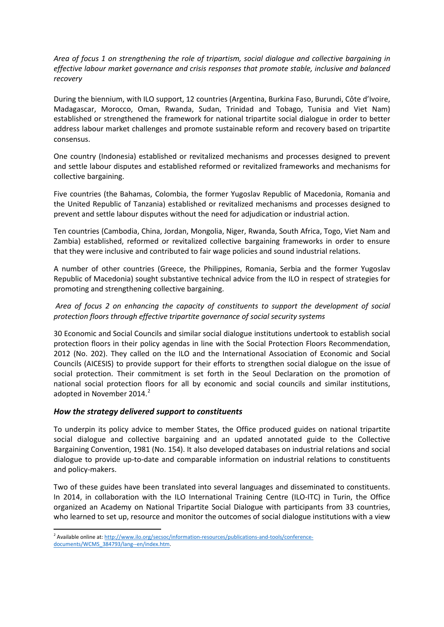*Area of focus 1 on strengthening the role of tripartism, social dialogue and collective bargaining in effective labour market governance and crisis responses that promote stable, inclusive and balanced recovery*

During the biennium, with ILO support, 12 countries (Argentina, Burkina Faso, Burundi, Côte d'Ivoire, Madagascar, Morocco, Oman, Rwanda, Sudan, Trinidad and Tobago, Tunisia and Viet Nam) established or strengthened the framework for national tripartite social dialogue in order to better address labour market challenges and promote sustainable reform and recovery based on tripartite consensus.

One country (Indonesia) established or revitalized mechanisms and processes designed to prevent and settle labour disputes and established reformed or revitalized frameworks and mechanisms for collective bargaining.

Five countries (the Bahamas, Colombia, the former Yugoslav Republic of Macedonia, Romania and the United Republic of Tanzania) established or revitalized mechanisms and processes designed to prevent and settle labour disputes without the need for adjudication or industrial action.

Ten countries (Cambodia, China, Jordan, Mongolia, Niger, Rwanda, South Africa, Togo, Viet Nam and Zambia) established, reformed or revitalized collective bargaining frameworks in order to ensure that they were inclusive and contributed to fair wage policies and sound industrial relations.

A number of other countries (Greece, the Philippines, Romania, Serbia and the former Yugoslav Republic of Macedonia) sought substantive technical advice from the ILO in respect of strategies for promoting and strengthening collective bargaining.

*Area of focus 2 on enhancing the capacity of constituents to support the development of social protection floors through effective tripartite governance of social security systems*

30 Economic and Social Councils and similar social dialogue institutions undertook to establish social protection floors in their policy agendas in line with the Social Protection Floors Recommendation, 2012 (No. 202). They called on the ILO and the International Association of Economic and Social Councils (AICESIS) to provide support for their efforts to strengthen social dialogue on the issue of social protection. Their commitment is set forth in the Seoul Declaration on the promotion of national social protection floors for all by economic and social councils and similar institutions, adopted in November [2](#page-1-0)014.<sup>2</sup>

# *How the strategy delivered support to constituents*

To underpin its policy advice to member States, the Office produced guides on national tripartite social dialogue and collective bargaining and an updated annotated guide to the Collective Bargaining Convention, 1981 (No. 154). It also developed databases on industrial relations and social dialogue to provide up-to-date and comparable information on industrial relations to constituents and policy-makers.

Two of these guides have been translated into several languages and disseminated to constituents. In 2014, in collaboration with the ILO International Training Centre (ILO-ITC) in Turin, the Office organized an Academy on National Tripartite Social Dialogue with participants from 33 countries, who learned to set up, resource and monitor the outcomes of social dialogue institutions with a view

<span id="page-1-0"></span><sup>&</sup>lt;sup>2</sup> Available online at[: http://www.ilo.org/secsoc/information-resources/publications-and-tools/conference](http://www.ilo.org/secsoc/information-resources/publications-and-tools/conference-documents/WCMS_384793/lang--en/index.htm)[documents/WCMS\\_384793/lang--en/index.htm.](http://www.ilo.org/secsoc/information-resources/publications-and-tools/conference-documents/WCMS_384793/lang--en/index.htm)  $\overline{\phantom{a}}$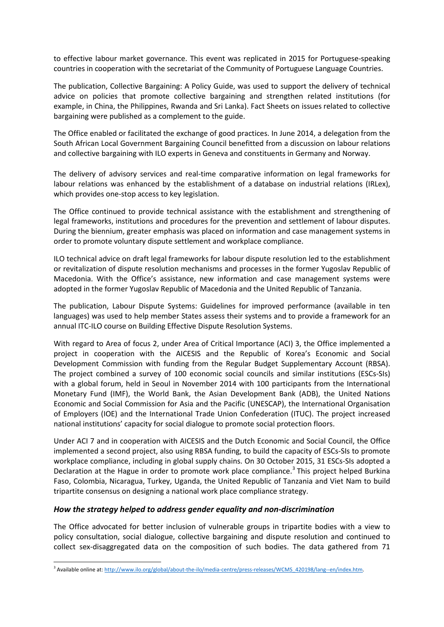to effective labour market governance. This event was replicated in 2015 for Portuguese-speaking countries in cooperation with the secretariat of the Community of Portuguese Language Countries.

The publication, Collective Bargaining: A Policy Guide, was used to support the delivery of technical advice on policies that promote collective bargaining and strengthen related institutions (for example, in China, the Philippines, Rwanda and Sri Lanka). Fact Sheets on issues related to collective bargaining were published as a complement to the guide.

The Office enabled or facilitated the exchange of good practices. In June 2014, a delegation from the South African Local Government Bargaining Council benefitted from a discussion on labour relations and collective bargaining with ILO experts in Geneva and constituents in Germany and Norway.

The delivery of advisory services and real-time comparative information on legal frameworks for labour relations was enhanced by the establishment of a database on industrial relations (IRLex), which provides one-stop access to key legislation.

The Office continued to provide technical assistance with the establishment and strengthening of legal frameworks, institutions and procedures for the prevention and settlement of labour disputes. During the biennium, greater emphasis was placed on information and case management systems in order to promote voluntary dispute settlement and workplace compliance.

ILO technical advice on draft legal frameworks for labour dispute resolution led to the establishment or revitalization of dispute resolution mechanisms and processes in the former Yugoslav Republic of Macedonia. With the Office's assistance, new information and case management systems were adopted in the former Yugoslav Republic of Macedonia and the United Republic of Tanzania.

The publication, Labour Dispute Systems: Guidelines for improved performance (available in ten languages) was used to help member States assess their systems and to provide a framework for an annual ITC-ILO course on Building Effective Dispute Resolution Systems.

With regard to Area of focus 2, under Area of Critical Importance (ACI) 3, the Office implemented a project in cooperation with the AICESIS and the Republic of Korea's Economic and Social Development Commission with funding from the Regular Budget Supplementary Account (RBSA). The project combined a survey of 100 economic social councils and similar institutions (ESCs-SIs) with a global forum, held in Seoul in November 2014 with 100 participants from the International Monetary Fund (IMF), the World Bank, the Asian Development Bank (ADB), the United Nations Economic and Social Commission for Asia and the Pacific (UNESCAP), the International Organisation of Employers (IOE) and the International Trade Union Confederation (ITUC). The project increased national institutions' capacity for social dialogue to promote social protection floors.

Under ACI 7 and in cooperation with AICESIS and the Dutch Economic and Social Council, the Office implemented a second project, also using RBSA funding, to build the capacity of ESCs-SIs to promote workplace compliance, including in global supply chains. On 30 October 2015, 31 ESCs-SIs adopted a Declaration at the Hague in order to promote work place compliance.<sup>[3](#page-2-0)</sup> This project helped Burkina Faso, Colombia, Nicaragua, Turkey, Uganda, the United Republic of Tanzania and Viet Nam to build tripartite consensus on designing a national work place compliance strategy.

### *How the strategy helped to address gender equality and non-discrimination*

**.** 

The Office advocated for better inclusion of vulnerable groups in tripartite bodies with a view to policy consultation, social dialogue, collective bargaining and dispute resolution and continued to collect sex-disaggregated data on the composition of such bodies. The data gathered from 71

<span id="page-2-0"></span><sup>&</sup>lt;sup>3</sup> Available online at[: http://www.ilo.org/global/about-the-ilo/media-centre/press-releases/WCMS\\_420198/lang--en/index.htm.](http://www.ilo.org/global/about-the-ilo/media-centre/press-releases/WCMS_420198/lang--en/index.htm)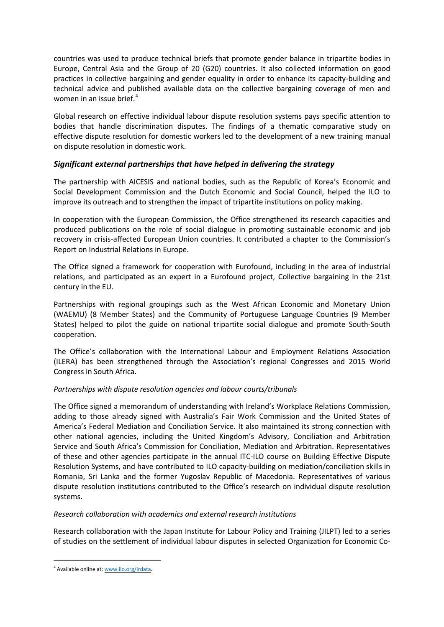countries was used to produce technical briefs that promote gender balance in tripartite bodies in Europe, Central Asia and the Group of 20 (G20) countries. It also collected information on good practices in collective bargaining and gender equality in order to enhance its capacity-building and technical advice and published available data on the collective bargaining coverage of men and women in an issue brief. $4$ 

Global research on effective individual labour dispute resolution systems pays specific attention to bodies that handle discrimination disputes. The findings of a thematic comparative study on effective dispute resolution for domestic workers led to the development of a new training manual on dispute resolution in domestic work.

# *Significant external partnerships that have helped in delivering the strategy*

The partnership with AICESIS and national bodies, such as the Republic of Korea's Economic and Social Development Commission and the Dutch Economic and Social Council, helped the ILO to improve its outreach and to strengthen the impact of tripartite institutions on policy making.

In cooperation with the European Commission, the Office strengthened its research capacities and produced publications on the role of social dialogue in promoting sustainable economic and job recovery in crisis-affected European Union countries. It contributed a chapter to the Commission's Report on Industrial Relations in Europe.

The Office signed a framework for cooperation with Eurofound, including in the area of industrial relations, and participated as an expert in a Eurofound project, Collective bargaining in the 21st century in the EU.

Partnerships with regional groupings such as the West African Economic and Monetary Union (WAEMU) (8 Member States) and the Community of Portuguese Language Countries (9 Member States) helped to pilot the guide on national tripartite social dialogue and promote South-South cooperation.

The Office's collaboration with the International Labour and Employment Relations Association (ILERA) has been strengthened through the Association's regional Congresses and 2015 World Congress in South Africa.

# *Partnerships with dispute resolution agencies and labour courts/tribunals*

The Office signed a memorandum of understanding with Ireland's Workplace Relations Commission, adding to those already signed with Australia's Fair Work Commission and the United States of America's Federal Mediation and Conciliation Service. It also maintained its strong connection with other national agencies, including the United Kingdom's Advisory, Conciliation and Arbitration Service and South Africa's Commission for Conciliation, Mediation and Arbitration. Representatives of these and other agencies participate in the annual ITC-ILO course on Building Effective Dispute Resolution Systems, and have contributed to ILO capacity-building on mediation/conciliation skills in Romania, Sri Lanka and the former Yugoslav Republic of Macedonia. Representatives of various dispute resolution institutions contributed to the Office's research on individual dispute resolution systems.

### *Research collaboration with academics and external research institutions*

Research collaboration with the Japan Institute for Labour Policy and Training (JILPT) led to a series of studies on the settlement of individual labour disputes in selected Organization for Economic Co-

 $\overline{\phantom{a}}$ 

<span id="page-3-0"></span><sup>4</sup> Available online at[: www.ilo.org/irdata.](http://www.ilo.org/irdata)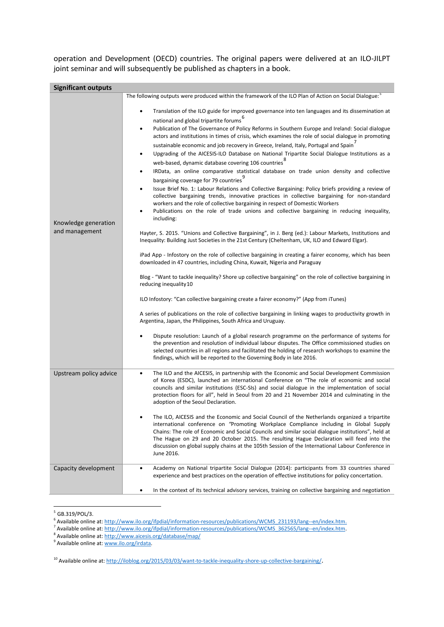operation and Development (OECD) countries. The original papers were delivered at an ILO-JILPT joint seminar and will subsequently be published as chapters in a book.

| <b>Significant outputs</b>             |                                                                                                                                                                                                                                                                                                                                                                                                                                                                                                                                                                                                                                                                                                                                                                                                                                                                                                                                                                                                                                                                                                                                                                                                                                                                                                                                                                                                                                                                                                                                                                                                                                                                                                                                                                                                                                                                                                                                                                                                                                                                                                                                                                                                                                                                                                                                                                                                                                                                                                           |
|----------------------------------------|-----------------------------------------------------------------------------------------------------------------------------------------------------------------------------------------------------------------------------------------------------------------------------------------------------------------------------------------------------------------------------------------------------------------------------------------------------------------------------------------------------------------------------------------------------------------------------------------------------------------------------------------------------------------------------------------------------------------------------------------------------------------------------------------------------------------------------------------------------------------------------------------------------------------------------------------------------------------------------------------------------------------------------------------------------------------------------------------------------------------------------------------------------------------------------------------------------------------------------------------------------------------------------------------------------------------------------------------------------------------------------------------------------------------------------------------------------------------------------------------------------------------------------------------------------------------------------------------------------------------------------------------------------------------------------------------------------------------------------------------------------------------------------------------------------------------------------------------------------------------------------------------------------------------------------------------------------------------------------------------------------------------------------------------------------------------------------------------------------------------------------------------------------------------------------------------------------------------------------------------------------------------------------------------------------------------------------------------------------------------------------------------------------------------------------------------------------------------------------------------------------------|
| Knowledge generation<br>and management | The following outputs were produced within the framework of the ILO Plan of Action on Social Dialogue: <sup>5</sup><br>Translation of the ILO guide for improved governance into ten languages and its dissemination at<br>national and global tripartite forums <sup>6</sup><br>Publication of The Governance of Policy Reforms in Southern Europe and Ireland: Social dialogue<br>٠<br>actors and institutions in times of crisis, which examines the role of social dialogue in promoting<br>sustainable economic and job recovery in Greece, Ireland, Italy, Portugal and Spain<br>Upgrading of the AICESIS-ILO Database on National Tripartite Social Dialogue Institutions as a<br>web-based, dynamic database covering 106 countries ${}^{8}$<br>IRData, an online comparative statistical database on trade union density and collective<br>bargaining coverage for 79 countries <sup>9</sup><br>Issue Brief No. 1: Labour Relations and Collective Bargaining: Policy briefs providing a review of<br>collective bargaining trends, innovative practices in collective bargaining for non-standard<br>workers and the role of collective bargaining in respect of Domestic Workers<br>Publications on the role of trade unions and collective bargaining in reducing inequality,<br>including:<br>Hayter, S. 2015. "Unions and Collective Bargaining", in J. Berg (ed.): Labour Markets, Institutions and<br>Inequality: Building Just Societies in the 21st Century (Cheltenham, UK, ILO and Edward Elgar).<br>iPad App - Infostory on the role of collective bargaining in creating a fairer economy, which has been<br>downloaded in 47 countries, including China, Kuwait, Nigeria and Paraguay<br>Blog - "Want to tackle inequality? Shore up collective bargaining" on the role of collective bargaining in<br>reducing inequality 10<br>ILO Infostory: "Can collective bargaining create a fairer economy?" (App from iTunes)<br>A series of publications on the role of collective bargaining in linking wages to productivity growth in<br>Argentina, Japan, the Philippines, South Africa and Uruguay.<br>Dispute resolution: Launch of a global research programme on the performance of systems for<br>the prevention and resolution of individual labour disputes. The Office commissioned studies on<br>selected countries in all regions and facilitated the holding of research workshops to examine the<br>findings, which will be reported to the Governing Body in late 2016. |
| Upstream policy advice                 | The ILO and the AICESIS, in partnership with the Economic and Social Development Commission<br>٠<br>of Korea (ESDC), launched an international Conference on "The role of economic and social<br>councils and similar institutions (ESC-SIs) and social dialogue in the implementation of social<br>protection floors for all", held in Seoul from 20 and 21 November 2014 and culminating in the<br>adoption of the Seoul Declaration.<br>The ILO, AICESIS and the Economic and Social Council of the Netherlands organized a tripartite<br>international conference on "Promoting Workplace Compliance including in Global Supply<br>Chains: The role of Economic and Social Councils and similar social dialogue institutions", held at<br>The Hague on 29 and 20 October 2015. The resulting Hague Declaration will feed into the<br>discussion on global supply chains at the 105th Session of the International Labour Conference in<br>June 2016.                                                                                                                                                                                                                                                                                                                                                                                                                                                                                                                                                                                                                                                                                                                                                                                                                                                                                                                                                                                                                                                                                                                                                                                                                                                                                                                                                                                                                                                                                                                                                  |
| Capacity development                   | Academy on National tripartite Social Dialogue (2014): participants from 33 countries shared<br>٠<br>experience and best practices on the operation of effective institutions for policy concertation.<br>In the context of its technical advisory services, training on collective bargaining and negotiation                                                                                                                                                                                                                                                                                                                                                                                                                                                                                                                                                                                                                                                                                                                                                                                                                                                                                                                                                                                                                                                                                                                                                                                                                                                                                                                                                                                                                                                                                                                                                                                                                                                                                                                                                                                                                                                                                                                                                                                                                                                                                                                                                                                            |
|                                        |                                                                                                                                                                                                                                                                                                                                                                                                                                                                                                                                                                                                                                                                                                                                                                                                                                                                                                                                                                                                                                                                                                                                                                                                                                                                                                                                                                                                                                                                                                                                                                                                                                                                                                                                                                                                                                                                                                                                                                                                                                                                                                                                                                                                                                                                                                                                                                                                                                                                                                           |

 $5$  GB.319/POL/3. **.** 

<span id="page-4-1"></span><span id="page-4-0"></span><sup>6</sup> Available online at[: http://www.ilo.org/ifpdial/information-resources/publications/WCMS\\_231193/lang--en/index.htm.](http://www.ilo.org/ifpdial/information-resources/publications/WCMS_231193/lang--en/index.htm)

<sup>7</sup> Available online at[: http://www.ilo.org/ifpdial/information-resources/publications/WCMS\\_362565/lang--en/index.htm.](http://www.ilo.org/ifpdial/information-resources/publications/WCMS_362565/lang--en/index.htm)

<span id="page-4-4"></span><span id="page-4-3"></span><span id="page-4-2"></span><sup>8</sup> Available online at: http://www.aicesis.org/database/map/<br>
<sup>9</sup> Available online at: <u>http://www.aicesis.org/database/map/</u><br>
<sup>9</sup> Available online at: <u>www.ilo.org/irdata</u>.

<span id="page-4-5"></span><sup>&</sup>lt;sup>10</sup> Available online at: [http://iloblog.org/2015/03/03/want-to-tackle-inequality-shore-up-collective-bargaining/.](http://iloblog.org/2015/03/03/want-to-tackle-inequality-shore-up-collective-bargaining/)